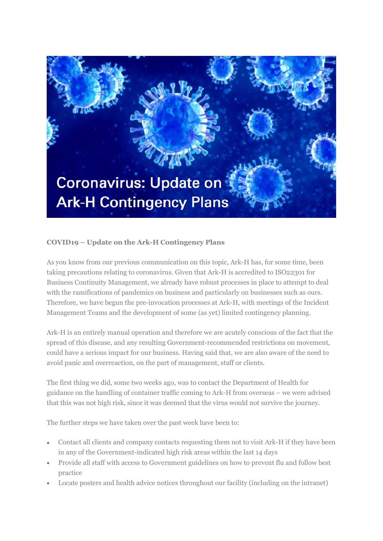

## **COVID19 – Update on the Ark-H Contingency Plans**

As you know from our previous communication on this topic, Ark-H has, for some time, been taking precautions relating to coronavirus. Given that Ark-H is accredited to ISO22301 for Business Continuity Management, we already have robust processes in place to attempt to deal with the ramifications of pandemics on business and particularly on businesses such as ours. Therefore, we have begun the pre-invocation processes at Ark-H, with meetings of the Incident Management Teams and the development of some (as yet) limited contingency planning.

Ark-H is an entirely manual operation and therefore we are acutely conscious of the fact that the spread of this disease, and any resulting Government-recommended restrictions on movement, could have a serious impact for our business. Having said that, we are also aware of the need to avoid panic and overreaction, on the part of management, staff or clients.

The first thing we did, some two weeks ago, was to contact the Department of Health for guidance on the handling of container traffic coming to Ark-H from overseas – we were advised that this was not high risk, since it was deemed that the virus would not survive the journey.

The further steps we have taken over the past week have been to:

- Contact all clients and company contacts requesting them not to visit Ark-H if they have been in any of the Government-indicated high risk areas within the last 14 days
- Provide all staff with access to Government guidelines on how to prevent flu and follow best practice
- Locate posters and health advice notices throughout our facility (including on the intranet)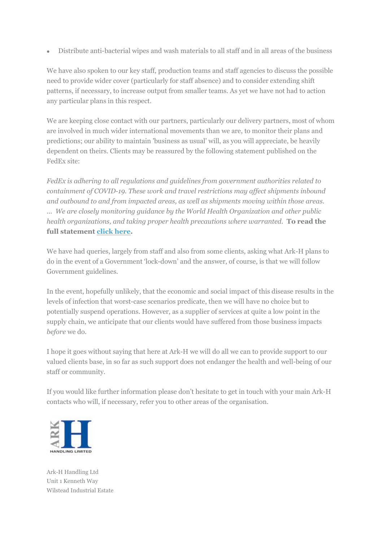• Distribute anti-bacterial wipes and wash materials to all staff and in all areas of the business

We have also spoken to our key staff, production teams and staff agencies to discuss the possible need to provide wider cover (particularly for staff absence) and to consider extending shift patterns, if necessary, to increase output from smaller teams. As yet we have not had to action any particular plans in this respect.

We are keeping close contact with our partners, particularly our delivery partners, most of whom are involved in much wider international movements than we are, to monitor their plans and predictions; our ability to maintain 'business as usual' will, as you will appreciate, be heavily dependent on theirs. Clients may be reassured by the following statement published on the FedEx site:

*FedEx is adhering to all regulations and guidelines from government authorities related to containment of COVID-19. These work and travel restrictions may affect shipments inbound and outbound to and from impacted areas, as well as shipments moving within those areas. ... We are closely monitoring guidance by the World Health Organization and other public health organizations, and taking proper health precautions where warranted.* **To read the full statement [click here.](https://ark-hhandlingltd.cmail19.com/t/i-i-xjthyjd-l-r/)** 

We have had queries, largely from staff and also from some clients, asking what Ark-H plans to do in the event of a Government 'lock-down' and the answer, of course, is that we will follow Government guidelines.

In the event, hopefully unlikely, that the economic and social impact of this disease results in the levels of infection that worst-case scenarios predicate, then we will have no choice but to potentially suspend operations. However, as a supplier of services at quite a low point in the supply chain, we anticipate that our clients would have suffered from those business impacts *before* we do.

I hope it goes without saying that here at Ark-H we will do all we can to provide support to our valued clients base, in so far as such support does not endanger the health and well-being of our staff or community.

If you would like further information please don't hesitate to get in touch with your main Ark-H contacts who will, if necessary, refer you to other areas of the organisation.



Ark-H Handling Ltd Unit 1 Kenneth Way Wilstead Industrial Estate